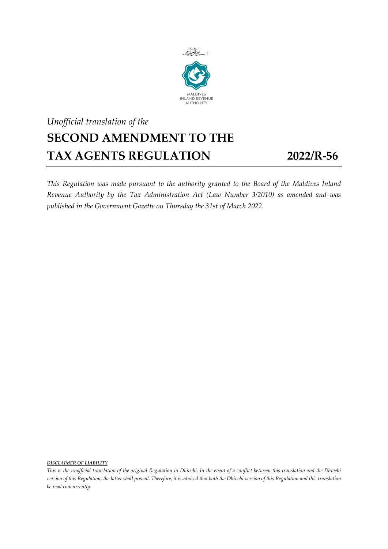

## *Unofficial translation of the* **SECOND AMENDMENT TO THE TAX AGENTS REGULATION 2022/R-56**

*This Regulation was made pursuant to the authority granted to the Board of the Maldives Inland Revenue Authority by the Tax Administration Act (Law Number 3/2010) as amended and was published in the Government Gazette on Thursday the 31st of March 2022.*

*DISCLAIMER OF LIABILITY*

*This is the unofficial translation of the original Regulation in Dhivehi. In the event of a conflict between this translation and the Dhivehi version of this Regulation, the latter shall prevail. Therefore, it is advised that both the Dhivehi version of this Regulation and this translation be read concurrently.*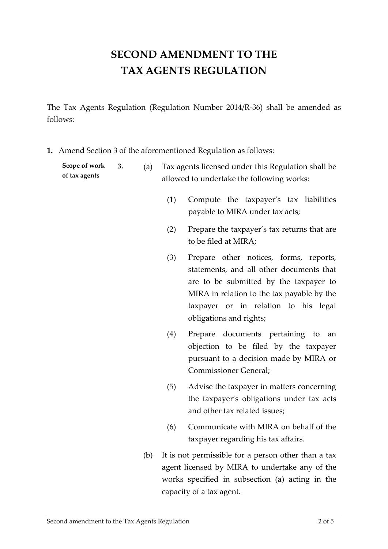## **SECOND AMENDMENT TO THE TAX AGENTS REGULATION**

The Tax Agents Regulation (Regulation Number 2014/R-36) shall be amended as follows:

**1.** Amend Section 3 of the aforementioned Regulation as follows:

| Scope of work | 3. | (a) | Tax agents licensed under this Regulation shall be |
|---------------|----|-----|----------------------------------------------------|
| of tax agents |    |     | allowed to undertake the following works:          |

- (1) Compute the taxpayer's tax liabilities payable to MIRA under tax acts;
- (2) Prepare the taxpayer's tax returns that are to be filed at MIRA;
- (3) Prepare other notices, forms, reports, statements, and all other documents that are to be submitted by the taxpayer to MIRA in relation to the tax payable by the taxpayer or in relation to his legal obligations and rights;
- (4) Prepare documents pertaining to an objection to be filed by the taxpayer pursuant to a decision made by MIRA or Commissioner General;
- (5) Advise the taxpayer in matters concerning the taxpayer's obligations under tax acts and other tax related issues;
- (6) Communicate with MIRA on behalf of the taxpayer regarding his tax affairs.
- (b) It is not permissible for a person other than a tax agent licensed by MIRA to undertake any of the works specified in subsection (a) acting in the capacity of a tax agent.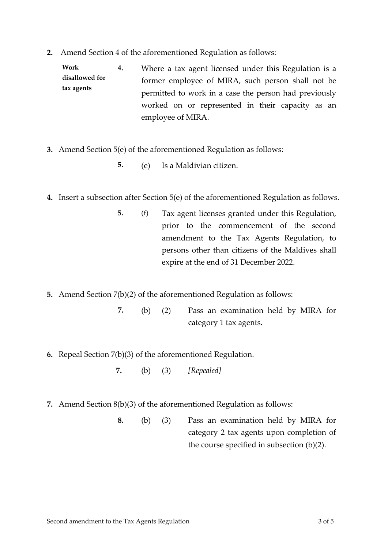**2.** Amend Section 4 of the aforementioned Regulation as follows:

**Work disallowed for tax agents 4.** Where a tax agent licensed under this Regulation is a former employee of MIRA, such person shall not be permitted to work in a case the person had previously worked on or represented in their capacity as an employee of MIRA.

- **3.** Amend Section 5(e) of the aforementioned Regulation as follows:
	- **5.** (e) Is a Maldivian citizen.
- **4.** Insert a subsection after Section 5(e) of the aforementioned Regulation as follows.
	- **5.** (f) Tax agent licenses granted under this Regulation, prior to the commencement of the second amendment to the Tax Agents Regulation, to persons other than citizens of the Maldives shall expire at the end of 31 December 2022.
- **5.** Amend Section 7(b)(2) of the aforementioned Regulation as follows:
	- **7.** (b) (2) Pass an examination held by MIRA for category 1 tax agents.
- **6.** Repeal Section 7(b)(3) of the aforementioned Regulation.
	- **7.** (b) (3) *[Repealed]*
- **7.** Amend Section 8(b)(3) of the aforementioned Regulation as follows:
	- **8.** (b) (3) Pass an examination held by MIRA for category 2 tax agents upon completion of the course specified in subsection (b)(2).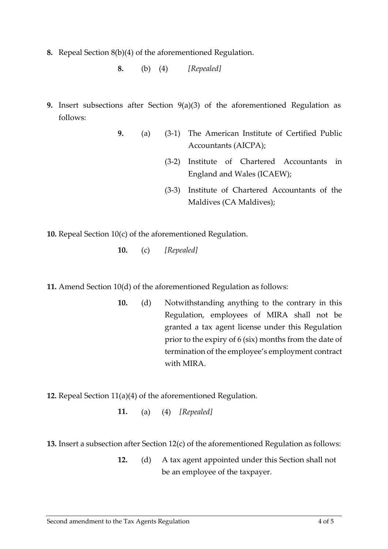**8.** Repeal Section 8(b)(4) of the aforementioned Regulation.

**8.** (b) (4) *[Repealed]*

- **9.** Insert subsections after Section 9(a)(3) of the aforementioned Regulation as follows:
	- **9.** (a) (3-1) The American Institute of Certified Public Accountants (AICPA);
		- (3-2) Institute of Chartered Accountants in England and Wales (ICAEW);
		- (3-3) Institute of Chartered Accountants of the Maldives (CA Maldives);

**10.** Repeal Section 10(c) of the aforementioned Regulation.

**10.** (c) *[Repealed]*

**11.** Amend Section 10(d) of the aforementioned Regulation as follows:

**10.** (d) Notwithstanding anything to the contrary in this Regulation, employees of MIRA shall not be granted a tax agent license under this Regulation prior to the expiry of 6 (six) months from the date of termination of the employee's employment contract with MIRA.

**12.** Repeal Section 11(a)(4) of the aforementioned Regulation.

**11.** (a) (4) *[Repealed]*

**13.** Insert a subsection after Section 12(c) of the aforementioned Regulation as follows:

**12.** (d) A tax agent appointed under this Section shall not be an employee of the taxpayer.